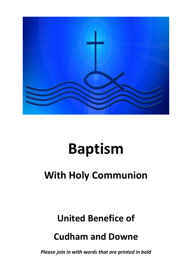

# **Baptism**

## **With Holy Communion**

### **United Benefice of**

### **Cudham and Downe**

*Please join in with words that are printed in bold*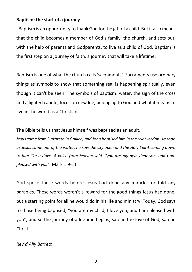#### **Baptism: the start of a journey**

"Baptism is an opportunity to thank God for the gift of a child. But it also means that the child becomes a member of God's family, the church, and sets out, with the help of parents and Godparents, to live as a child of God. Baptism is the first step on a journey of faith, a journey that will take a lifetime.

Baptism is one of what the church calls 'sacraments'. Sacraments use ordinary things as symbols to show that something real is happening spiritually, even though it can't be seen. The symbols of baptism: water, the sign of the cross and a lighted candle, focus on new life, belonging to God and what it means to live in the world as a Christian.

The Bible tells us that Jesus himself was baptised as an adult.

*Jesus came from Nazareth in Galilee, and John baptised him in the river Jordan. As soon as Jesus came out of the water, he saw the sky open and the Holy Spirit coming down to him like a dove. A voice from heaven said, "you are my own dear son, and I am pleased with you".* Mark 1:9-11

God spoke these words before Jesus had done any miracles or told any parables. These words weren't a reward for the good things Jesus had done, but a starting point for all he would do in his life and ministry. Today, God says to those being baptised, "you are my child, I love you, and I am pleased with you", and so the journey of a lifetime begins, safe in the love of God, safe in Christ."

*Rev'd Ally Barrett*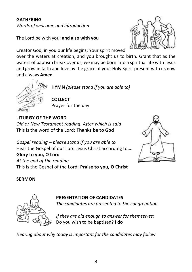#### **GATHERING**

*Words of welcome and introduction*

The Lord be with you: **and also with you**

Creator God, in you our life begins; Your spirit moved

over the waters at creation, and you brought us to birth. Grant that as the waters of baptism break over us, we may be born into a spiritual life with Jesus and grow in faith and love by the grace of your Holy Spirit present with us now and always **Amen**



**HYMN** *(please stand if you are able to)*

**COLLECT** Prayer for the day

**LITURGY OF THE WORD** *Old or New Testament reading. After which is said* This is the word of the Lord: **Thanks be to God**

*Gospel reading – please stand if you are able to*  Hear the Gospel of our Lord Jesus Christ according to….

**Glory to you, O Lord** *At the end of the reading* This is the Gospel of the Lord: **Praise to you, O Christ**



#### **SERMON**



#### **PRESENTATION OF CANDIDATES**

*The candidates are presented to the congregation.*

*If they are old enough to answer for themselves:* Do you wish to be baptised? **I do**

*Hearing about why today is important for the candidates may follow.*

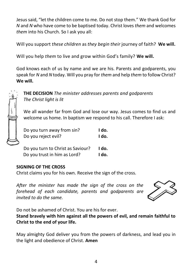Jesus said, "let the children come to me. Do not stop them." We thank God for *N* and *N* who have come to be baptised today. Christ loves *them* and welcomes *them* into his Church. So I ask you all:

Will you support *these children* as *they begin their* journey of faith? **We will.**

Will you help *them* to live and grow within God's family? **We will.**

God knows each of us by name and we are his. Parents and godparents, you speak for *N* and *N* today. Will you pray for *them* and help *them* to follow Christ? **We will.**



**THE DECISION** *The minister addresses parents and godparents The Christ light is lit* 

We all wander far from God and lose our way. Jesus comes to find us and welcome us home. In baptism we respond to his call. Therefore I ask:

| Do you turn away from sin?        | I do. |
|-----------------------------------|-------|
| Do you reject evil?               | I do. |
|                                   |       |
| Do you turn to Christ as Saviour? | I do. |
| Do you trust in him as Lord?      | I do. |

#### **SIGNING OF THE CROSS**

Christ claims you for his own. Receive the sign of the cross.

*After the minister has made the sign of the cross on the forehead of each candidate, parents and godparents are invited to do the same.*



Do not be ashamed of Christ. You are his for ever.

**Stand bravely with him against all the powers of evil, and remain faithful to Christ to the end of your life.**

May almighty God deliver you from the powers of darkness, and lead you in the light and obedience of Christ. **Amen**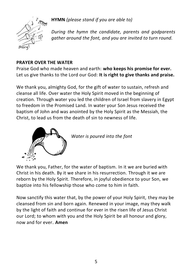

**HYMN** *(please stand if you are able to)*

*During the hymn the candidate, parents and godparents gather around the font, and you are invited to turn round.*

#### **PRAYER OVER THE WATER**

Praise God who made heaven and earth: **who keeps his promise for ever.** Let us give thanks to the Lord our God: **It is right to give thanks and praise.**

We thank you, almighty God, for the gift of water to sustain, refresh and cleanse all life. Over water the Holy Spirit moved in the beginning of creation. Through water you led the children of Israel from slavery in Egypt to freedom in the Promised Land. In water your Son Jesus received the baptism of John and was anointed by the Holy Spirit as the Messiah, the Christ, to lead us from the death of sin to newness of life.



*Water is poured into the font*

We thank you, Father, for the water of baptism. In it we are buried with Christ in his death. By it we share in his resurrection. Through it we are reborn by the Holy Spirit. Therefore, in joyful obedience to your Son, we baptize into his fellowship those who come to him in faith.

Now sanctify this water that, by the power of your Holy Spirit, they may be cleansed from sin and born again. Renewed in your image, may they walk by the light of faith and continue for ever in the risen life of Jesus Christ our Lord; to whom with you and the Holy Spirit be all honour and glory, now and for ever. **Amen**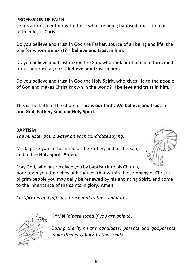#### **PROFESSION OF FAITH**

Let us affirm, together with these who are being baptised, our common faith in Jesus Christ.

Do you believe and trust in God the Father, source of all being and life, the one for whom we exist? **I believe and trust in him.**

Do you believe and trust in God the Son, who took our human nature, died for us and rose again? **I believe and trust in him.**

Do you believe and trust in God the Holy Spirit, who gives life to the people of God and makes Christ known in the world? **I believe and trust in him.**

This is the faith of the Church. **This is our faith. We believe and trust in one God, Father, Son and Holy Spirit.**

#### **BAPTISM**

*The minister pours water on each candidate saying:*

*N,* I baptize you in the name of the Father, and of the Son, and of the Holy Spirit. **Amen.**



May God, who has received you by baptism into his Church, pour upon you the riches of his grace, that within the company of Christ's pilgrim people you may daily be renewed by his anointing Spirit, and come to the inheritance of the saints in glory. **Amen**

*Certificates and gifts are presented to the candidates.*



**HYMN** *(please stand if you are able to)*

*During the hymn the candidate, parents and godparents make their way back to their seats.*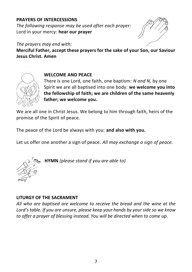#### **PRAYERS OF INTERCESSIONS**

*The following response may be used after each prayer:* Lord in your mercy: **hear our prayer**

*The prayers may end with:* **Merciful Father, accept these prayers for the sake of your Son, our Saviour Jesus Christ. Amen**



#### **WELCOME AND PEACE**

There is one Lord, one faith, one baptism: *N and N,* by one Spirit we are all baptised into one body: **we welcome you into the fellowship of faith; we are children of the same heavenly father; we welcome you.**

We are all one in Christ Jesus. We belong to him through faith, heirs of the promise of the Spirit of peace.

The peace of the Lord be always with you: **and also with you.**

Let us offer one another a sign of peace. *All may exchange a sign of peace.*



**HYMN** *(please stand if you are able to)*

#### **LITURGY OF THE SACRAMENT**

*All who are baptised are welcome to receive the bread and the wine at the Lord's table. If you are unsure, please keep your hands by your side so we know to offer a prayer of blessing instead. You will be directed when to come up.*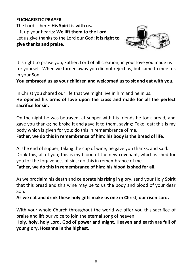#### **EUCHARISTIC PRAYER**

The Lord is here: **His Spirit is with us.** Lift up your hearts: **We lift them to the Lord.** Let us give thanks to the Lord our God: **It is right to give thanks and praise.**



It is right to praise you, Father, Lord of all creation; in your love you made us for yourself. When we turned away you did not reject us, but came to meet us in your Son.

**You embraced us as your children and welcomed us to sit and eat with you.**

In Christ you shared our life that we might live in him and he in us.

**He opened his arms of love upon the cross and made for all the perfect sacrifice for sin.**

On the night he was betrayed, at supper with his friends he took bread, and gave you thanks; he broke it and gave it to them, saying: Take, eat; this is my body which is given for you; do this in remembrance of me.

**Father, we do this in remembrance of him: his body is the bread of life.**

At the end of supper, taking the cup of wine, he gave you thanks, and said: Drink this, all of you; this is my blood of the new covenant, which is shed for you for the forgiveness of sins; do this in remembrance of me.

**Father, we do this in remembrance of him: his blood is shed for all.**

As we proclaim his death and celebrate his rising in glory, send your Holy Spirit that this bread and this wine may be to us the body and blood of your dear Son.

**As we eat and drink these holy gifts make us one in Christ, our risen Lord.**

With your whole Church throughout the world we offer you this sacrifice of praise and lift our voice to join the eternal song of heaven:

**Holy, holy, holy Lord, God of power and might, Heaven and earth are full of your glory. Hosanna in the highest.**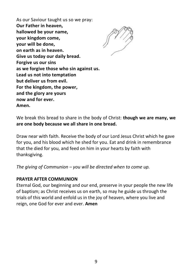As our Saviour taught us so we pray: **Our Father in heaven, hallowed be your name, your kingdom come, your will be done, on earth as in heaven. Give us today our daily bread. Forgive us our sins as we forgive those who sin against us. Lead us not into temptation but deliver us from evil. For the kingdom, the power, and the glory are yours now and for ever. Amen.**



We break this bread to share in the body of Christ: **though we are many, we are one body because we all share in one bread.**

Draw near with faith. Receive the body of our Lord Jesus Christ which he gave for you, and his blood which he shed for you. Eat and drink in remembrance that the died for you, and feed on him in your hearts by faith with thanksgiving.

*The giving of Communion – you will be directed when to come up.*

#### **PRAYER AFTER COMMUNION**

Eternal God, our beginning and our end, preserve in your people the new life of baptism; as Christ receives us on earth, so may he guide us through the trials of this world and enfold us in the joy of heaven, where you live and reign, one God for ever and ever. **Amen**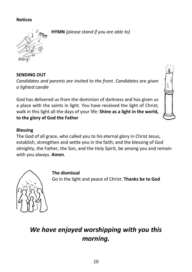#### **Notices**

**HYMN** *(please stand if you are able to)*



**SENDING OUT**

*Candidates and parents are invited to the front. Candidates are given a lighted candle*

God has delivered us from the dominion of darkness and has given us a place with the saints in light. You have received the light of Christ; walk in this light all the days of your life: **Shine as a light in the world, to the glory of God the Father** 



#### **Blessing**

The God of all grace, who called you to his eternal glory in Christ Jesus, establish, strengthen and settle you in the faith; and the blessing of God almighty, the Father, the Son, and the Holy Spirit, be among you and remain with you always. **Amen**.



**The dismissal**

Go in the light and peace of Christ: **Thanks be to God**

### *We have enjoyed worshipping with you this morning.*